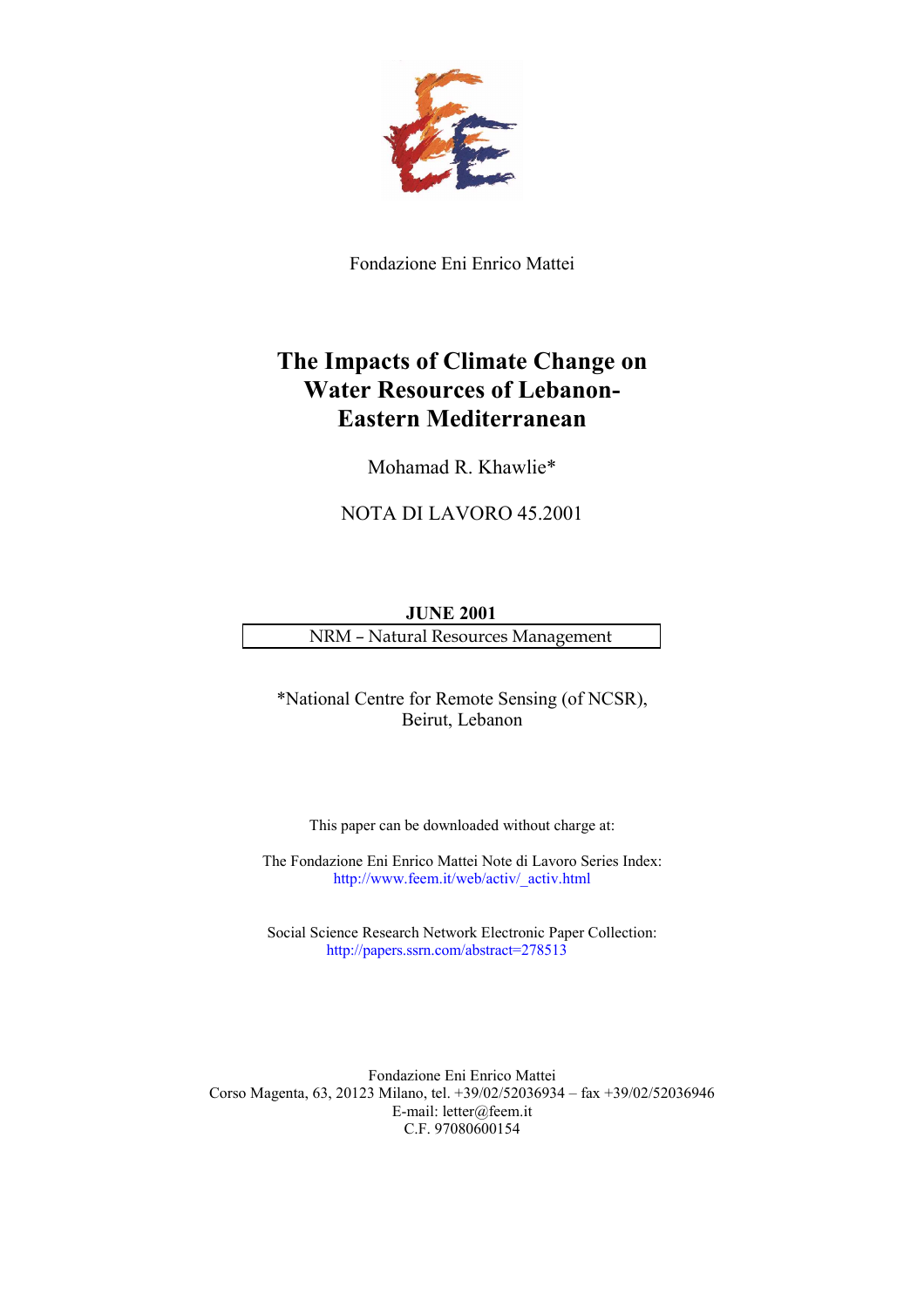

Fondazione Eni Enrico Mattei

# **The Impacts of Climate Change on Water Resources of Lebanon-Eastern Mediterranean**

Mohamad R. Khawlie\*

NOTA DI LAVORO 45.2001

**JUNE 2001** NRM – Natural Resources Management

\*National Centre for Remote Sensing (of NCSR), Beirut, Lebanon

This paper can be downloaded without charge at:

The Fondazione Eni Enrico Mattei Note di Lavoro Series Index: http://www.feem.it/web/activ/\_activ.html

Social Science Research Network Electronic Paper Collection: <http://papers.ssrn.com/abstract=278513>

Fondazione Eni Enrico Mattei Corso Magenta, 63, 20123 Milano, tel. +39/02/52036934 – fax +39/02/52036946 E-mail: letter@feem.it C.F. 97080600154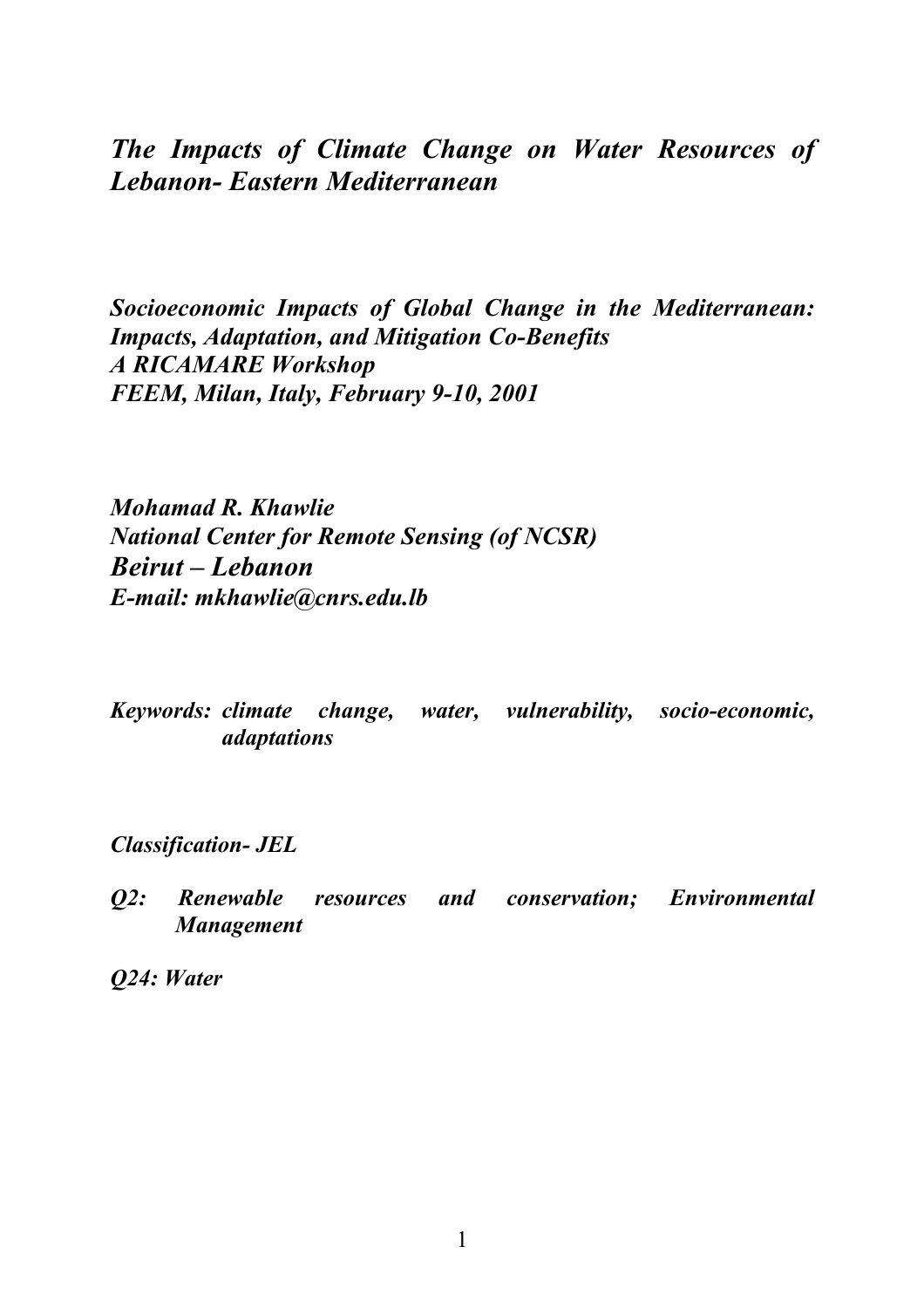*The Impacts of Climate Change on Water Resources of Lebanon- Eastern Mediterranean*

*Socioeconomic Impacts of Global Change in the Mediterranean: Impacts, Adaptation, and Mitigation Co-Benefits A RICAMARE Workshop FEEM, Milan, Italy, February 9-10, 2001*

*Mohamad R. Khawlie National Center for Remote Sensing (of NCSR) Beirut – Lebanon E-mail: mkhawlie@cnrs.edu.lb*

*Keywords: climate change, water, vulnerability, socio-economic, adaptations*

*Classification- JEL*

*Q2: Renewable resources and conservation; Environmental Management*

*Q24: Water*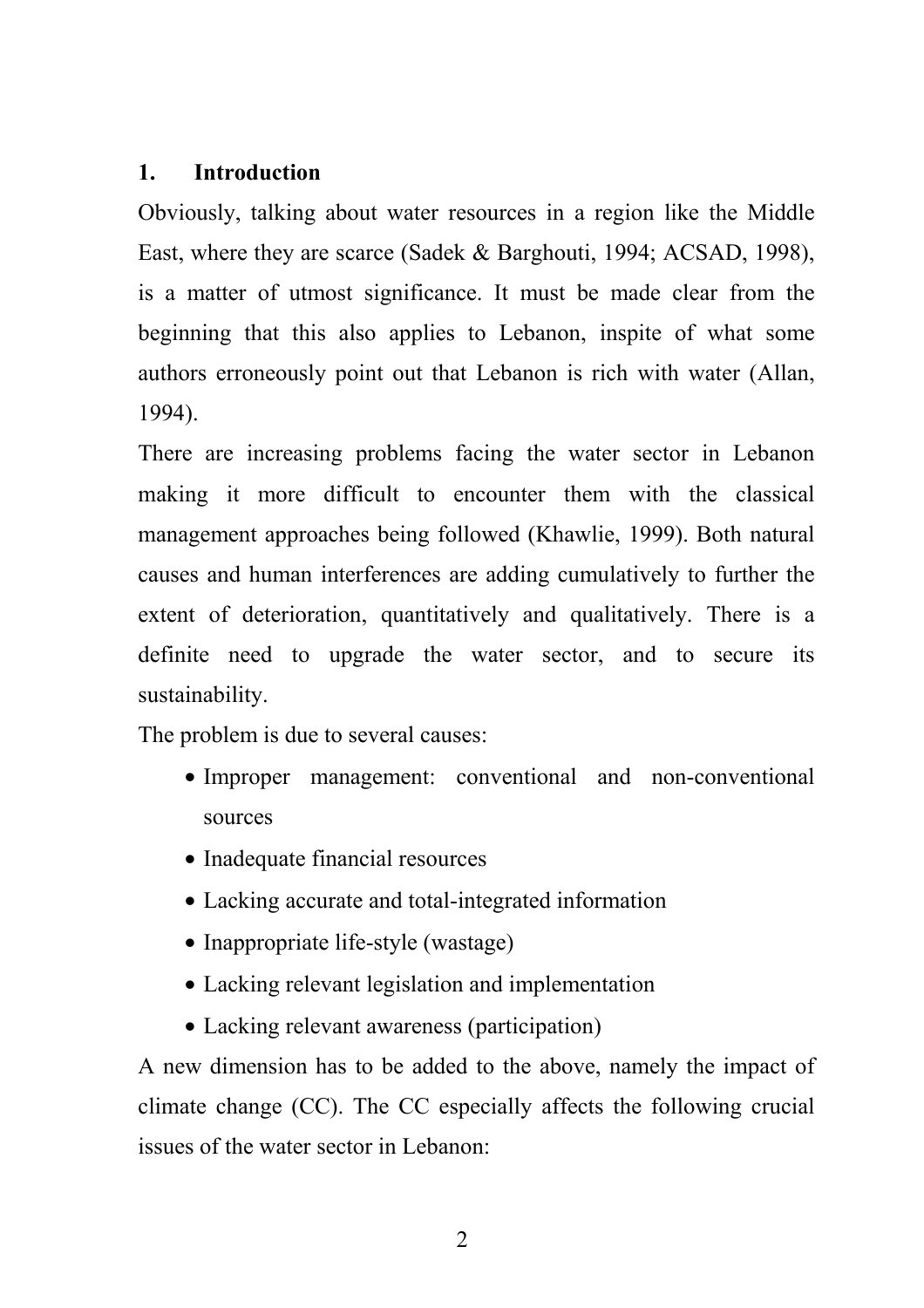## **1. Introduction**

Obviously, talking about water resources in a region like the Middle East, where they are scarce (Sadek & Barghouti, 1994; ACSAD, 1998), is a matter of utmost significance. It must be made clear from the beginning that this also applies to Lebanon, inspite of what some authors erroneously point out that Lebanon is rich with water (Allan, 1994).

There are increasing problems facing the water sector in Lebanon making it more difficult to encounter them with the classical management approaches being followed (Khawlie, 1999). Both natural causes and human interferences are adding cumulatively to further the extent of deterioration, quantitatively and qualitatively. There is a definite need to upgrade the water sector, and to secure its sustainability.

The problem is due to several causes:

- Improper management: conventional and non-conventional sources
- Inadequate financial resources
- Lacking accurate and total-integrated information
- Inappropriate life-style (wastage)
- Lacking relevant legislation and implementation
- Lacking relevant awareness (participation)

A new dimension has to be added to the above, namely the impact of climate change (CC). The CC especially affects the following crucial issues of the water sector in Lebanon: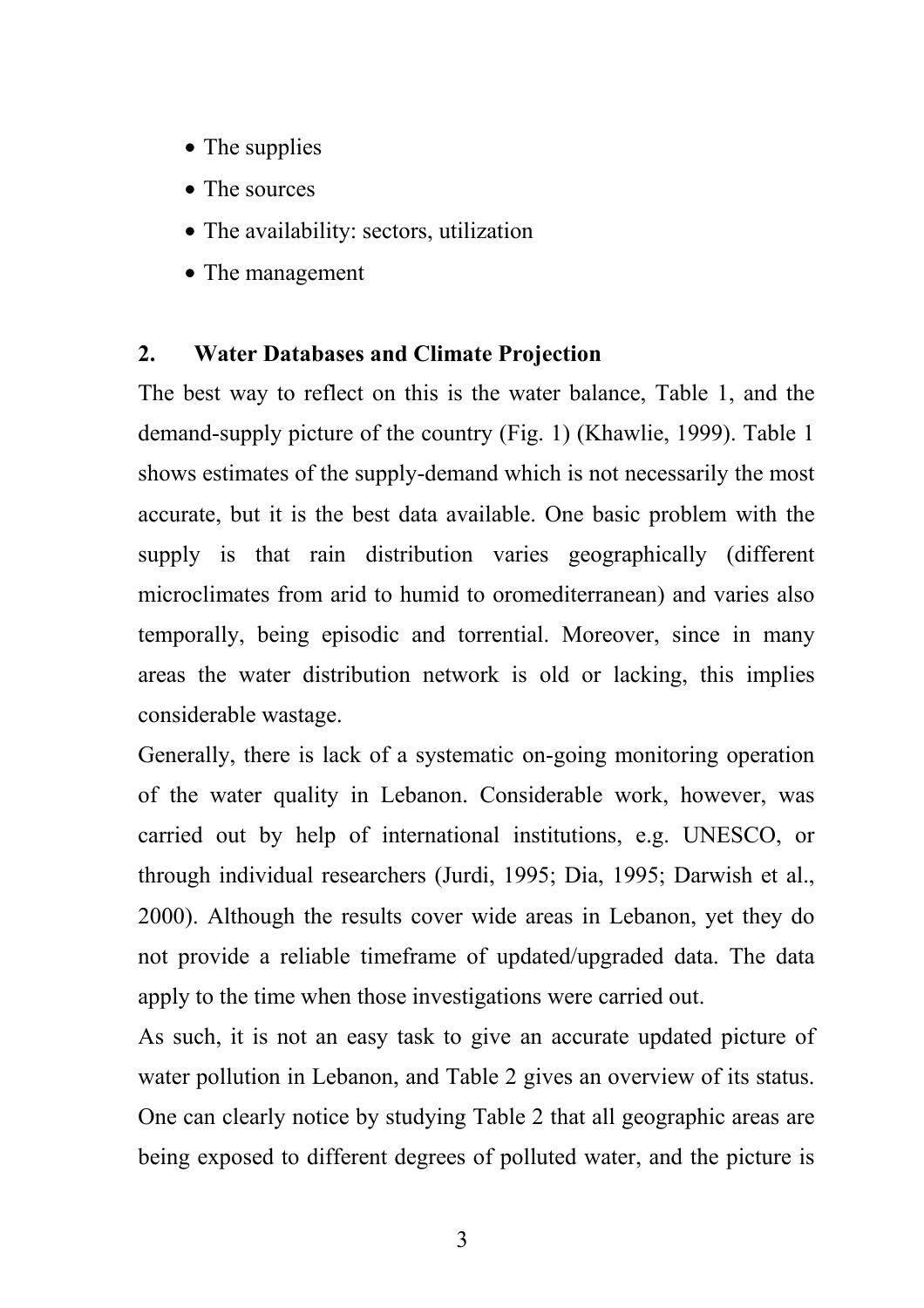- The supplies
- The sources
- The availability: sectors, utilization
- The management

# **2. Water Databases and Climate Projection**

The best way to reflect on this is the water balance, Table 1, and the demand-supply picture of the country (Fig. 1) (Khawlie, 1999). Table 1 shows estimates of the supply-demand which is not necessarily the most accurate, but it is the best data available. One basic problem with the supply is that rain distribution varies geographically (different microclimates from arid to humid to oromediterranean) and varies also temporally, being episodic and torrential. Moreover, since in many areas the water distribution network is old or lacking, this implies considerable wastage.

Generally, there is lack of a systematic on-going monitoring operation of the water quality in Lebanon. Considerable work, however, was carried out by help of international institutions, e.g. UNESCO, or through individual researchers (Jurdi, 1995; Dia, 1995; Darwish et al., 2000). Although the results cover wide areas in Lebanon, yet they do not provide a reliable timeframe of updated/upgraded data. The data apply to the time when those investigations were carried out.

As such, it is not an easy task to give an accurate updated picture of water pollution in Lebanon, and Table 2 gives an overview of its status. One can clearly notice by studying Table 2 that all geographic areas are being exposed to different degrees of polluted water, and the picture is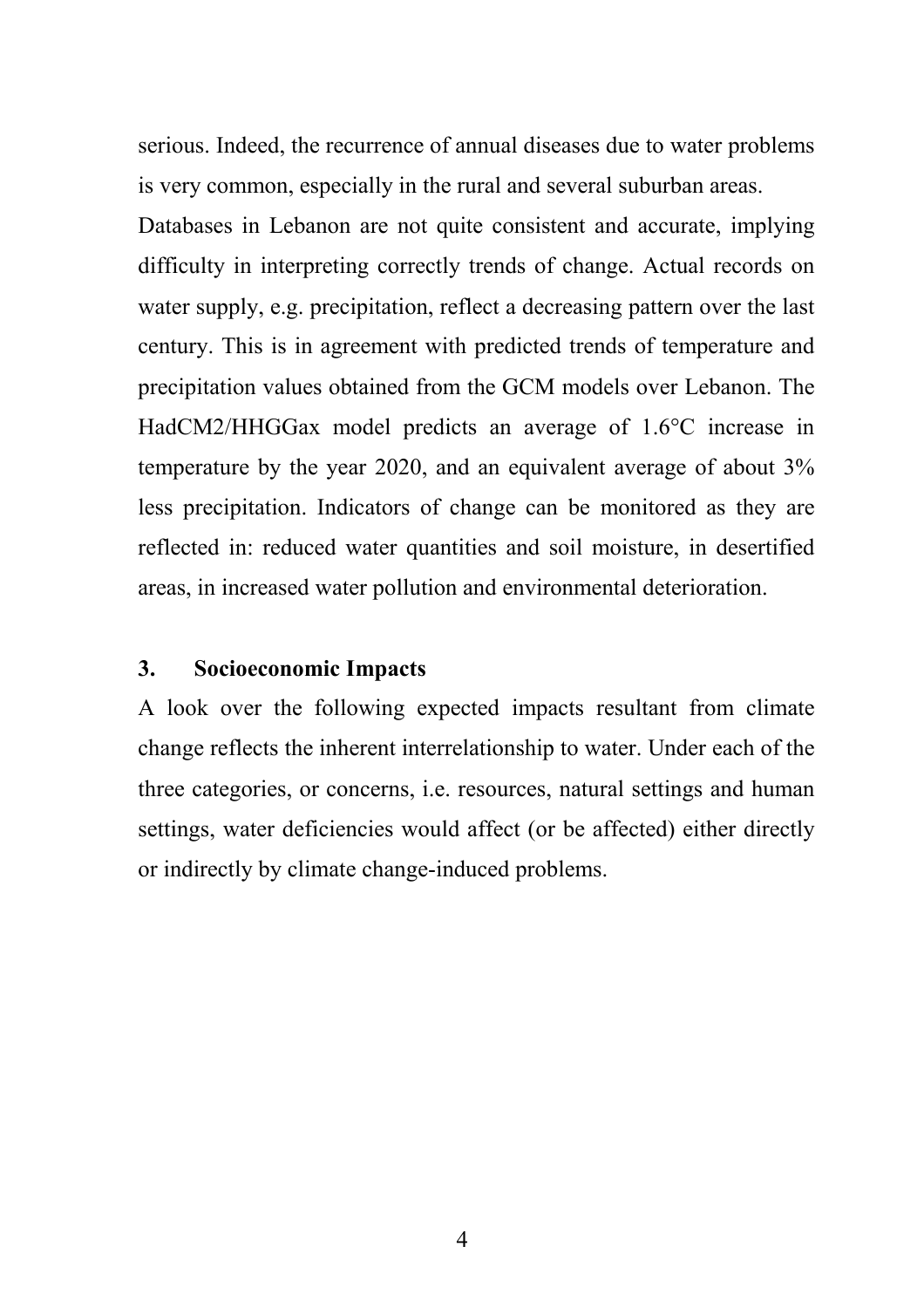serious. Indeed, the recurrence of annual diseases due to water problems is very common, especially in the rural and several suburban areas.

Databases in Lebanon are not quite consistent and accurate, implying difficulty in interpreting correctly trends of change. Actual records on water supply, e.g. precipitation, reflect a decreasing pattern over the last century. This is in agreement with predicted trends of temperature and precipitation values obtained from the GCM models over Lebanon. The HadCM2/HHGGax model predicts an average of 1.6°C increase in temperature by the year 2020, and an equivalent average of about 3% less precipitation. Indicators of change can be monitored as they are reflected in: reduced water quantities and soil moisture, in desertified areas, in increased water pollution and environmental deterioration.

### **3. Socioeconomic Impacts**

A look over the following expected impacts resultant from climate change reflects the inherent interrelationship to water. Under each of the three categories, or concerns, i.e. resources, natural settings and human settings, water deficiencies would affect (or be affected) either directly or indirectly by climate change-induced problems.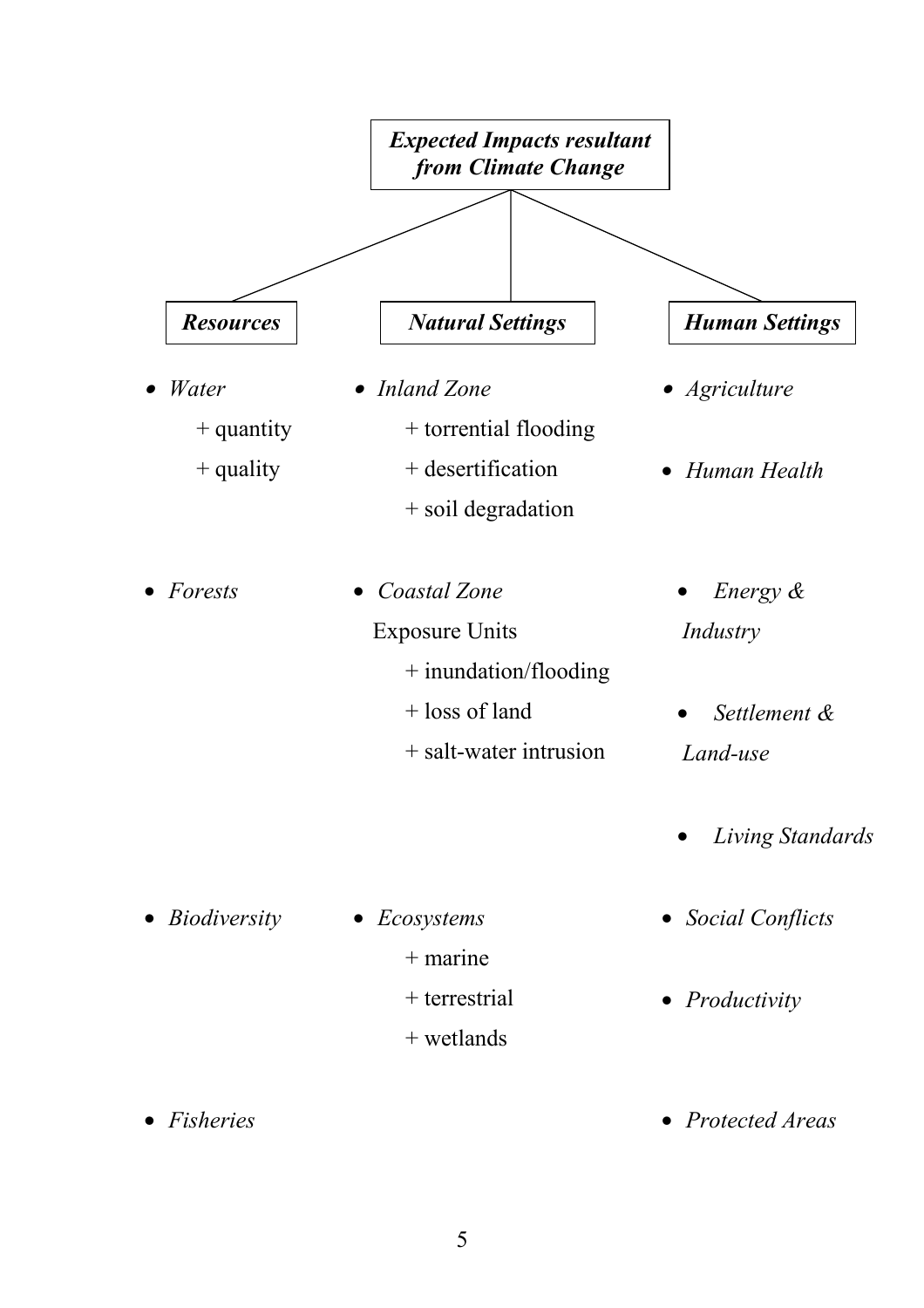

# 5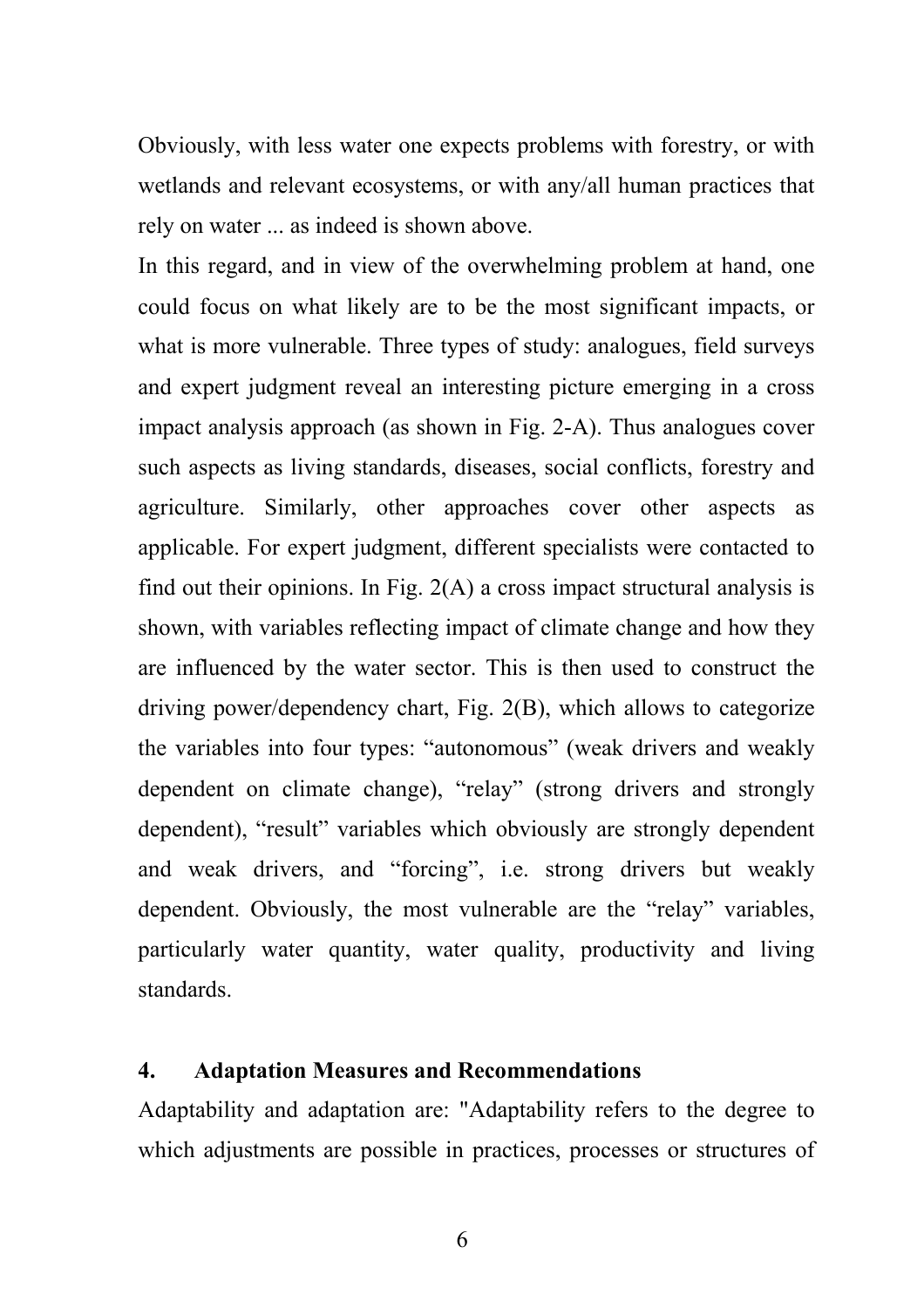Obviously, with less water one expects problems with forestry, or with wetlands and relevant ecosystems, or with any/all human practices that rely on water ... as indeed is shown above.

In this regard, and in view of the overwhelming problem at hand, one could focus on what likely are to be the most significant impacts, or what is more vulnerable. Three types of study: analogues, field surveys and expert judgment reveal an interesting picture emerging in a cross impact analysis approach (as shown in Fig. 2-A). Thus analogues cover such aspects as living standards, diseases, social conflicts, forestry and agriculture. Similarly, other approaches cover other aspects as applicable. For expert judgment, different specialists were contacted to find out their opinions. In Fig.  $2(A)$  a cross impact structural analysis is shown, with variables reflecting impact of climate change and how they are influenced by the water sector. This is then used to construct the driving power/dependency chart, Fig. 2(B), which allows to categorize the variables into four types: "autonomous" (weak drivers and weakly dependent on climate change), "relay" (strong drivers and strongly dependent), "result" variables which obviously are strongly dependent and weak drivers, and "forcing", i.e. strong drivers but weakly dependent. Obviously, the most vulnerable are the "relay" variables, particularly water quantity, water quality, productivity and living standards.

#### **4. Adaptation Measures and Recommendations**

Adaptability and adaptation are: "Adaptability refers to the degree to which adjustments are possible in practices, processes or structures of

6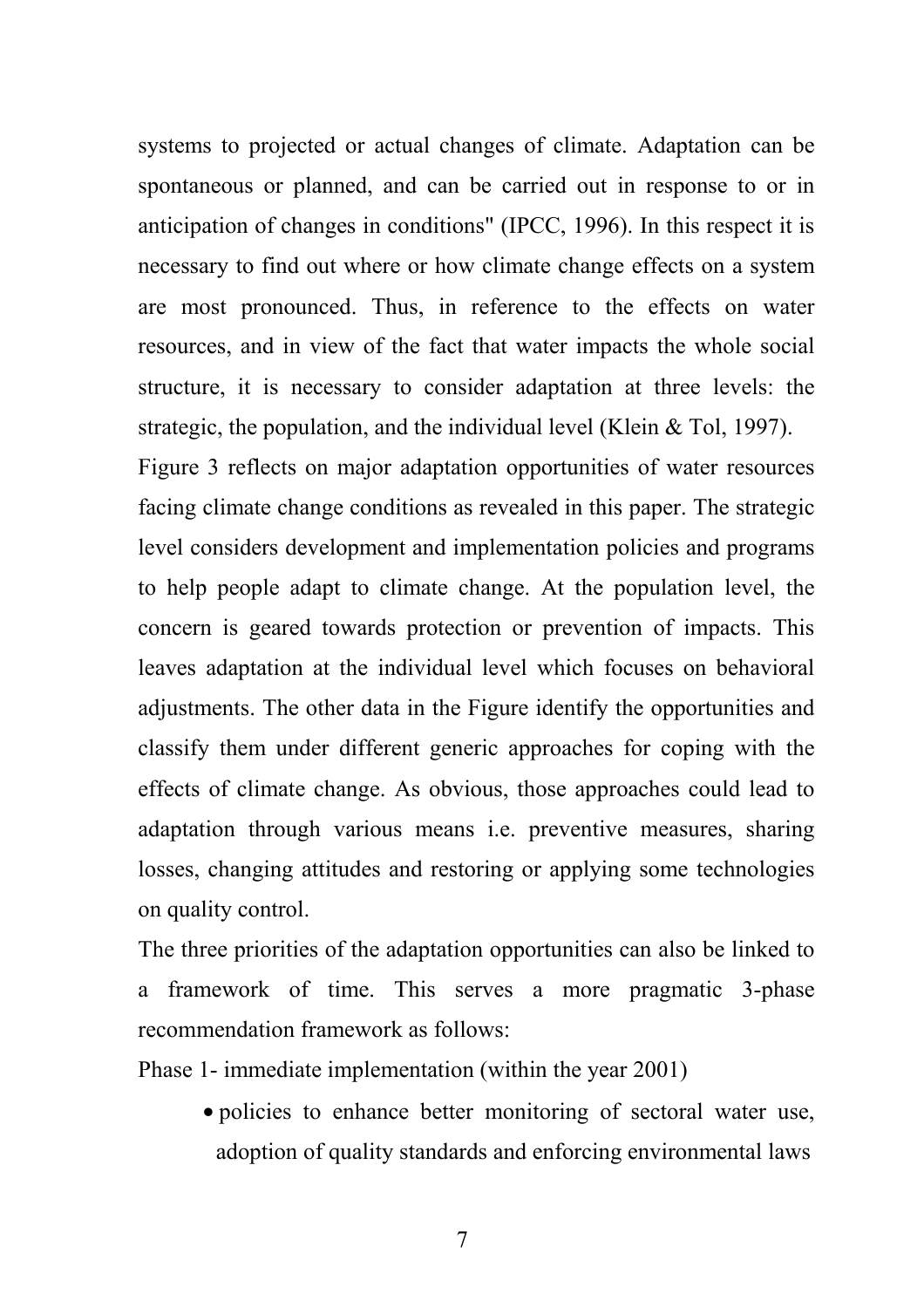systems to projected or actual changes of climate. Adaptation can be spontaneous or planned, and can be carried out in response to or in anticipation of changes in conditions" (IPCC, 1996). In this respect it is necessary to find out where or how climate change effects on a system are most pronounced. Thus, in reference to the effects on water resources, and in view of the fact that water impacts the whole social structure, it is necessary to consider adaptation at three levels: the strategic, the population, and the individual level (Klein & Tol, 1997).

Figure 3 reflects on major adaptation opportunities of water resources facing climate change conditions as revealed in this paper. The strategic level considers development and implementation policies and programs to help people adapt to climate change. At the population level, the concern is geared towards protection or prevention of impacts. This leaves adaptation at the individual level which focuses on behavioral adjustments. The other data in the Figure identify the opportunities and classify them under different generic approaches for coping with the effects of climate change. As obvious, those approaches could lead to adaptation through various means i.e. preventive measures, sharing losses, changing attitudes and restoring or applying some technologies on quality control.

The three priorities of the adaptation opportunities can also be linked to a framework of time. This serves a more pragmatic 3-phase recommendation framework as follows:

Phase 1- immediate implementation (within the year 2001)

• policies to enhance better monitoring of sectoral water use, adoption of quality standards and enforcing environmental laws

7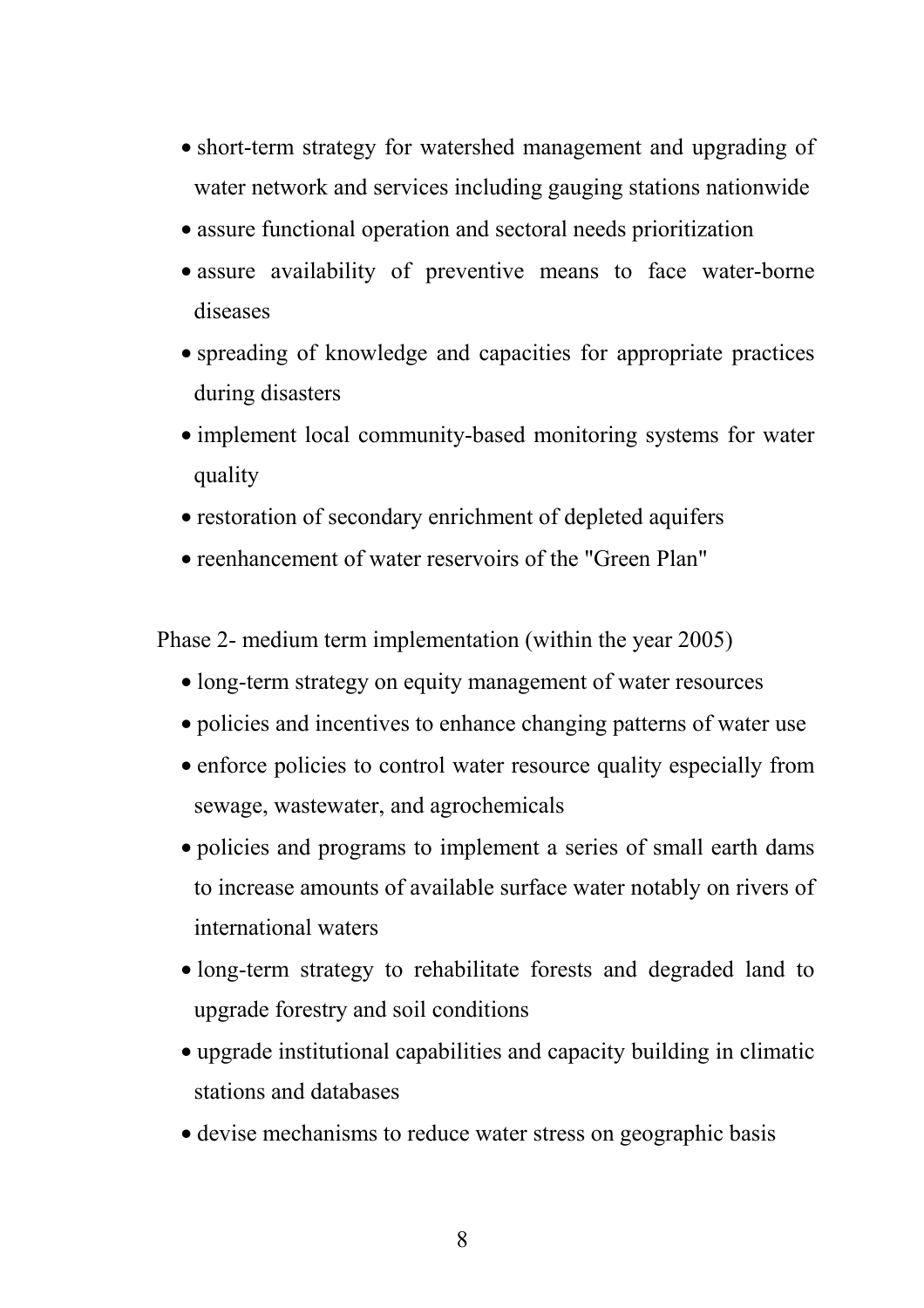- short-term strategy for watershed management and upgrading of water network and services including gauging stations nationwide
- assure functional operation and sectoral needs prioritization
- assure availability of preventive means to face water-borne diseases
- spreading of knowledge and capacities for appropriate practices during disasters
- implement local community-based monitoring systems for water quality
- restoration of secondary enrichment of depleted aquifers
- reenhancement of water reservoirs of the "Green Plan"

Phase 2- medium term implementation (within the year 2005)

- long-term strategy on equity management of water resources
- policies and incentives to enhance changing patterns of water use
- enforce policies to control water resource quality especially from sewage, wastewater, and agrochemicals
- policies and programs to implement a series of small earth dams to increase amounts of available surface water notably on rivers of international waters
- long-term strategy to rehabilitate forests and degraded land to upgrade forestry and soil conditions
- upgrade institutional capabilities and capacity building in climatic stations and databases
- devise mechanisms to reduce water stress on geographic basis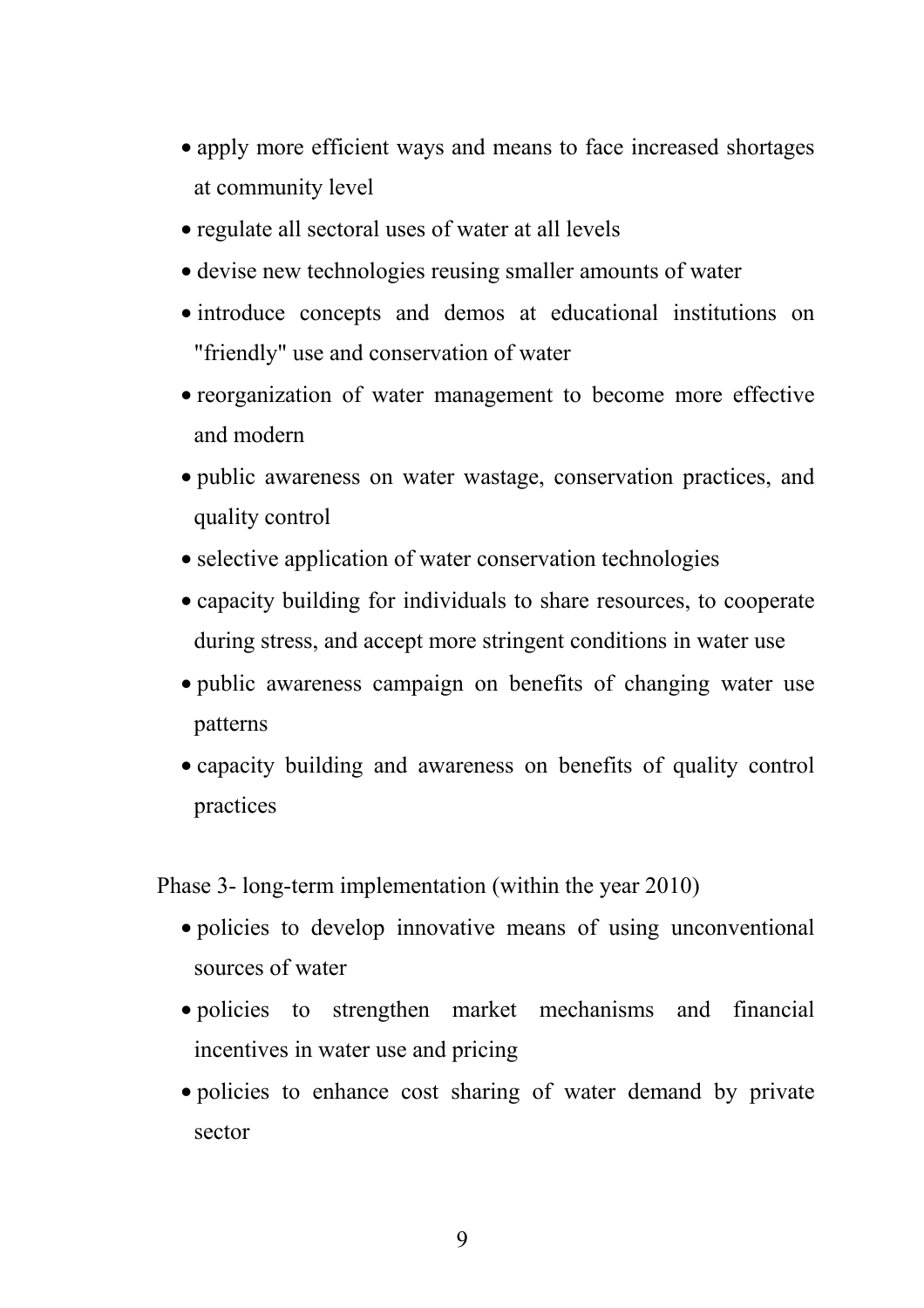- apply more efficient ways and means to face increased shortages at community level
- regulate all sectoral uses of water at all levels
- devise new technologies reusing smaller amounts of water
- introduce concepts and demos at educational institutions on "friendly" use and conservation of water
- reorganization of water management to become more effective and modern
- public awareness on water wastage, conservation practices, and quality control
- selective application of water conservation technologies
- capacity building for individuals to share resources, to cooperate during stress, and accept more stringent conditions in water use
- public awareness campaign on benefits of changing water use patterns
- capacity building and awareness on benefits of quality control practices

Phase 3- long-term implementation (within the year 2010)

- policies to develop innovative means of using unconventional sources of water
- policies to strengthen market mechanisms and financial incentives in water use and pricing
- policies to enhance cost sharing of water demand by private sector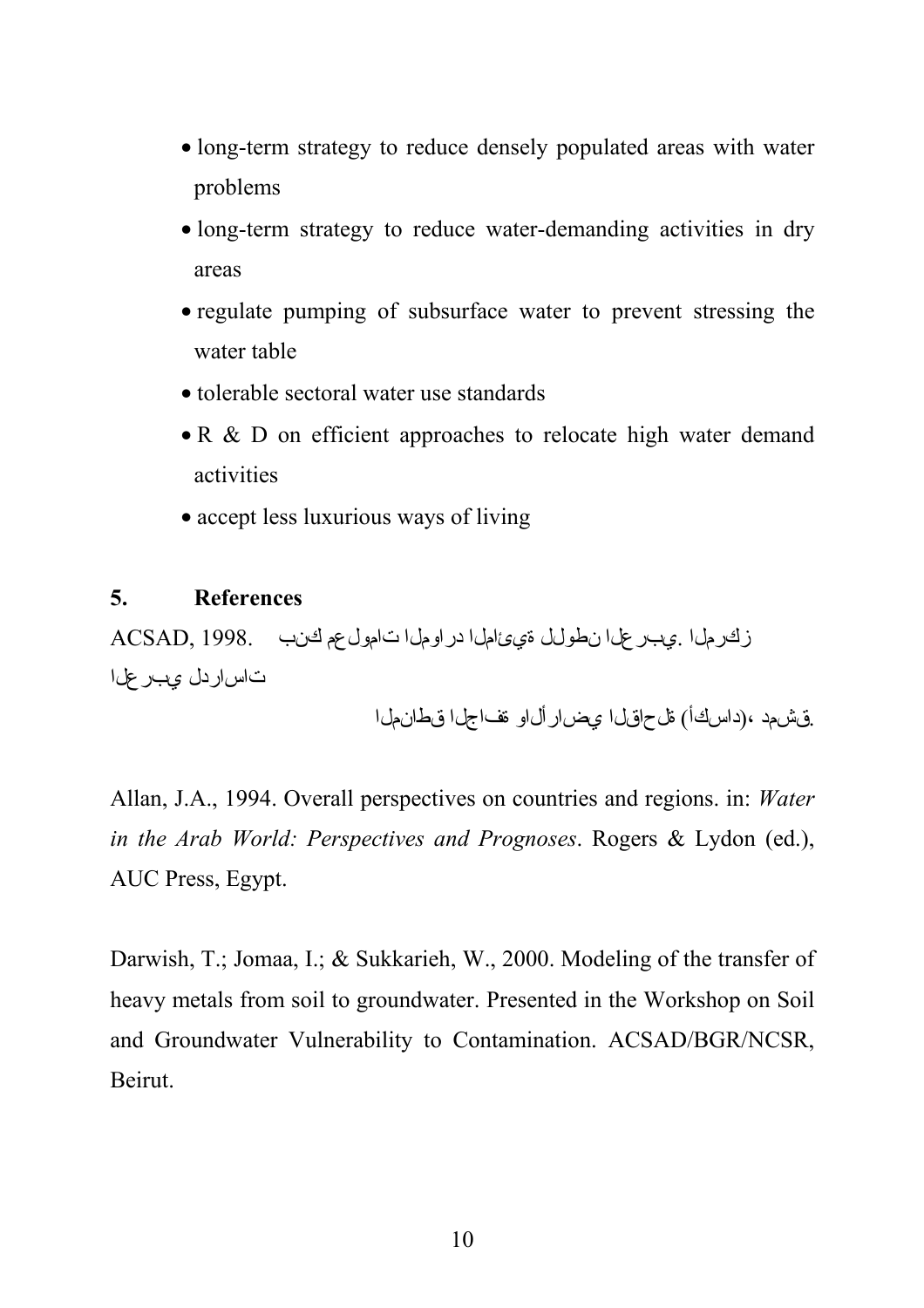- long-term strategy to reduce densely populated areas with water problems
- long-term strategy to reduce water-demanding activities in dry areas
- regulate pumping of subsurface water to prevent stressing the water table
- tolerable sectoral water use standards
- R & D on efficient approaches to relocate high water demand activities
- accept less luxurious ways of living

### **5. References**

زكرملا .يبرعلا نطولل ةيئاملا دراوملا تامولعم كنب 1998. ,ACSAD تاساردل يبرعلا

.ق ش مد ،(داسكأ) قل حاق لي عض ار أل او قف اجل في طان مل ا

Allan, J.A., 1994. Overall perspectives on countries and regions. in: *Water in the Arab World: Perspectives and Prognoses*. Rogers & Lydon (ed.), AUC Press, Egypt.

Darwish, T.; Jomaa, I.; & Sukkarieh, W., 2000. Modeling of the transfer of heavy metals from soil to groundwater. Presented in the Workshop on Soil and Groundwater Vulnerability to Contamination. ACSAD/BGR/NCSR, Beirut.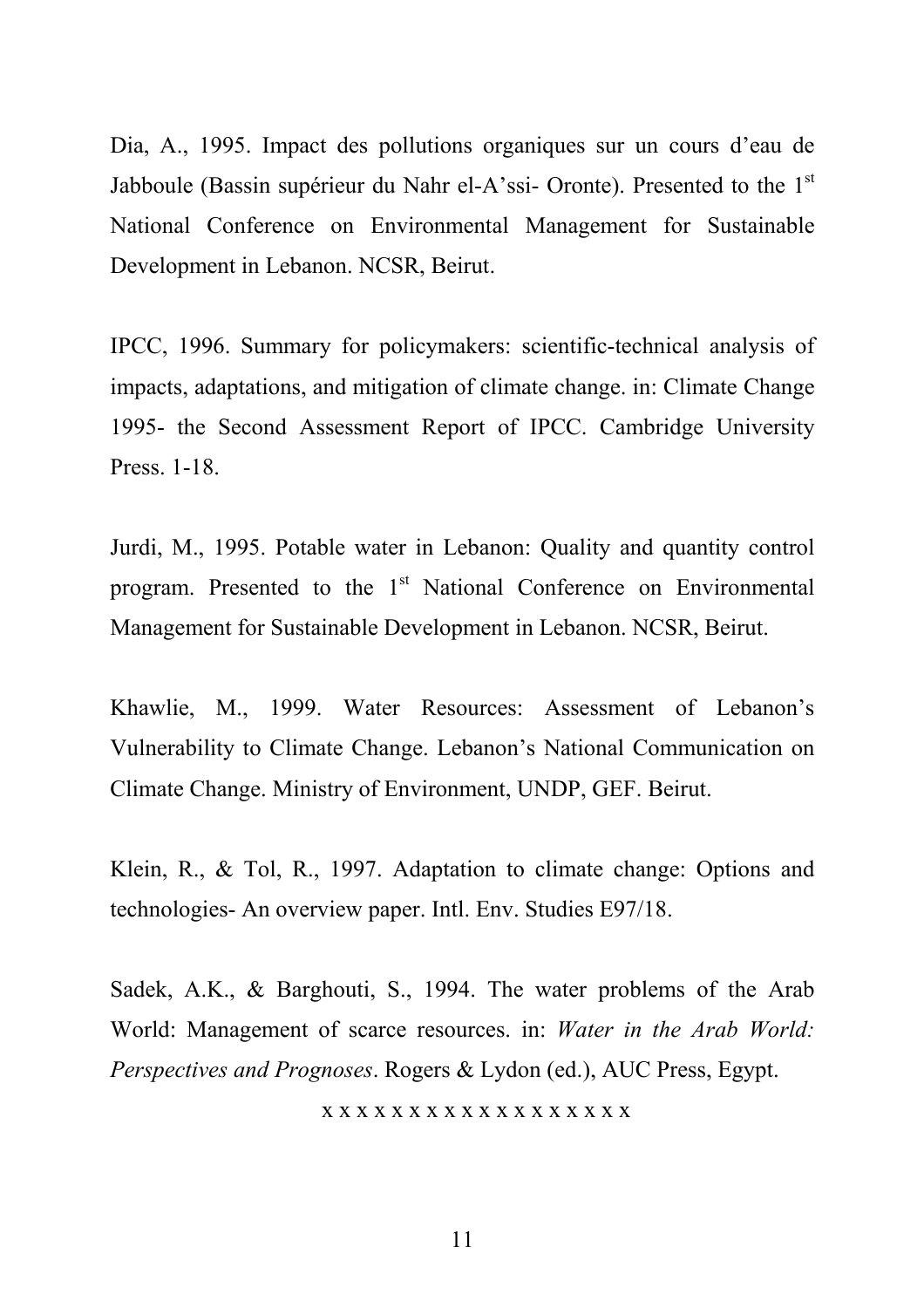Dia, A., 1995. Impact des pollutions organiques sur un cours d'eau de Jabboule (Bassin supérieur du Nahr el-A'ssi- Oronte). Presented to the 1<sup>st</sup> National Conference on Environmental Management for Sustainable Development in Lebanon. NCSR, Beirut.

IPCC, 1996. Summary for policymakers: scientific-technical analysis of impacts, adaptations, and mitigation of climate change. in: Climate Change 1995- the Second Assessment Report of IPCC. Cambridge University Press. 1-18.

Jurdi, M., 1995. Potable water in Lebanon: Quality and quantity control program. Presented to the  $1<sup>st</sup>$  National Conference on Environmental Management for Sustainable Development in Lebanon. NCSR, Beirut.

Khawlie, M., 1999. Water Resources: Assessment of Lebanon's Vulnerability to Climate Change. Lebanon's National Communication on Climate Change. Ministry of Environment, UNDP, GEF. Beirut.

Klein, R., & Tol, R., 1997. Adaptation to climate change: Options and technologies- An overview paper. Intl. Env. Studies E97/18.

Sadek, A.K., & Barghouti, S., 1994. The water problems of the Arab World: Management of scarce resources. in: *Water in the Arab World: Perspectives and Prognoses*. Rogers & Lydon (ed.), AUC Press, Egypt.

x x x x x x x x x x x x x x x x x x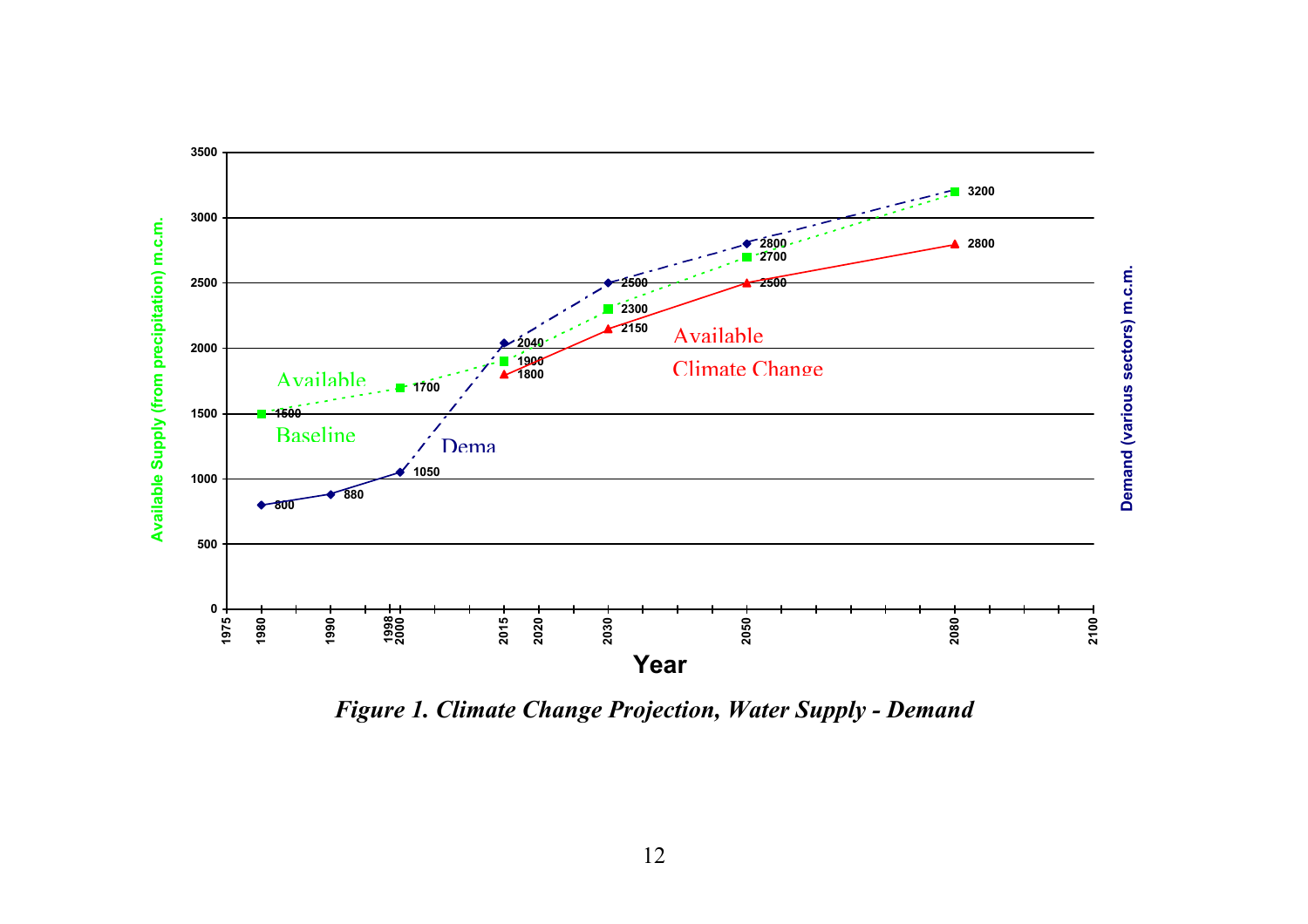

*Figure 1. Climate Change Projection, Water Supply - Demand*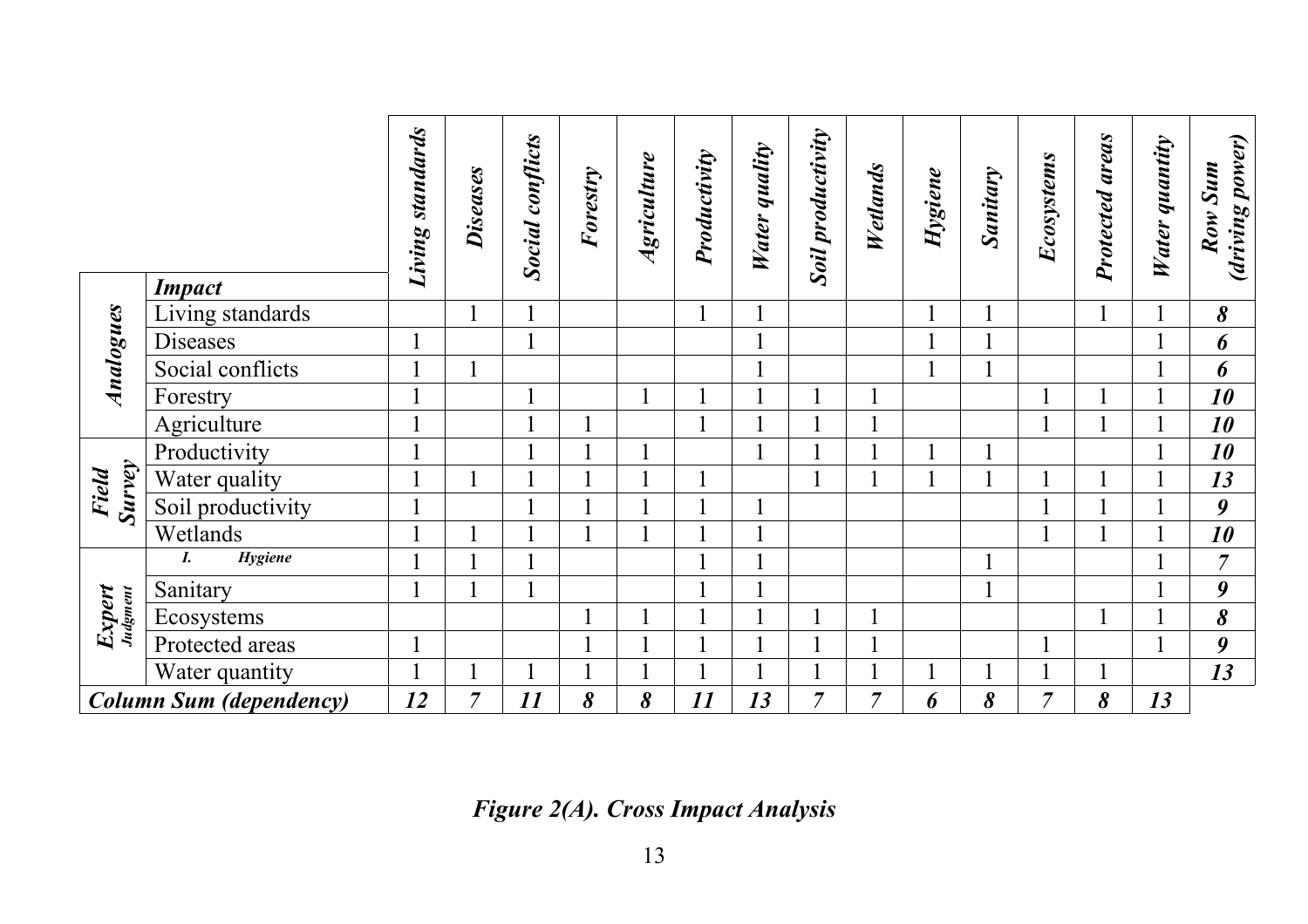|                                |                                   | Living standards     | <b>Diseases</b> | <b>Social conflicts</b> | Forestry | Agriculture | Productivity | quality<br>Water | <b>Soil productivity</b> | Wetlands       | Hygiene | <b>Sanitary</b> | Ecosystems     | areas<br>Protected | Water quantity | (driving power)<br>Row Sum |
|--------------------------------|-----------------------------------|----------------------|-----------------|-------------------------|----------|-------------|--------------|------------------|--------------------------|----------------|---------|-----------------|----------------|--------------------|----------------|----------------------------|
|                                | <b>Impact</b><br>Living standards |                      |                 |                         |          |             |              |                  |                          |                |         |                 |                |                    |                | 8                          |
|                                | <b>Diseases</b>                   |                      |                 |                         |          |             |              |                  |                          |                |         |                 |                |                    |                | 6                          |
| Analogues                      | Social conflicts                  |                      |                 |                         |          |             |              |                  |                          |                |         |                 |                |                    | -1             | 6                          |
|                                | Forestry                          |                      |                 |                         |          |             |              |                  |                          |                |         |                 |                |                    |                | 10                         |
|                                | Agriculture                       |                      |                 |                         |          |             |              |                  |                          | $\blacksquare$ |         |                 |                |                    |                | 10                         |
| <b>Survey</b><br><b>Field</b>  | Productivity                      |                      |                 |                         |          |             |              |                  |                          |                |         |                 |                |                    |                | 10                         |
|                                | Water quality                     |                      |                 |                         |          |             |              |                  |                          | 1              |         |                 |                |                    |                | 13                         |
|                                | Soil productivity                 |                      |                 |                         |          |             |              |                  |                          |                |         |                 |                |                    |                | $\boldsymbol{9}$           |
|                                | Wetlands                          |                      |                 |                         |          |             |              |                  |                          |                |         |                 |                |                    | -1             | 10                         |
| Expert<br>Judgment             | Hygiene<br>I.                     |                      |                 |                         |          |             |              |                  |                          |                |         |                 |                |                    | $\mathbf 1$    | $\overline{7}$             |
|                                | Sanitary                          |                      |                 |                         |          |             |              |                  |                          |                |         |                 |                |                    |                | $\boldsymbol{9}$           |
|                                | Ecosystems                        |                      |                 |                         |          |             |              |                  |                          | 1              |         |                 |                |                    | $\mathbf{1}$   | 8                          |
|                                | Protected areas                   | $\blacktriangleleft$ |                 |                         |          |             |              |                  |                          |                |         |                 |                |                    |                | $\boldsymbol{9}$           |
|                                | Water quantity                    |                      |                 |                         |          |             |              |                  |                          |                |         |                 |                |                    |                | 13                         |
| <b>Column Sum (dependency)</b> |                                   | 12                   | $\overline{7}$  | 11                      | 8        | 8           | 11           | 13               | $\overline{7}$           | $\overline{7}$ | 6       | 8               | $\overline{7}$ | 8                  | 13             |                            |

*Figure 2(A). Cross Impact Analysis*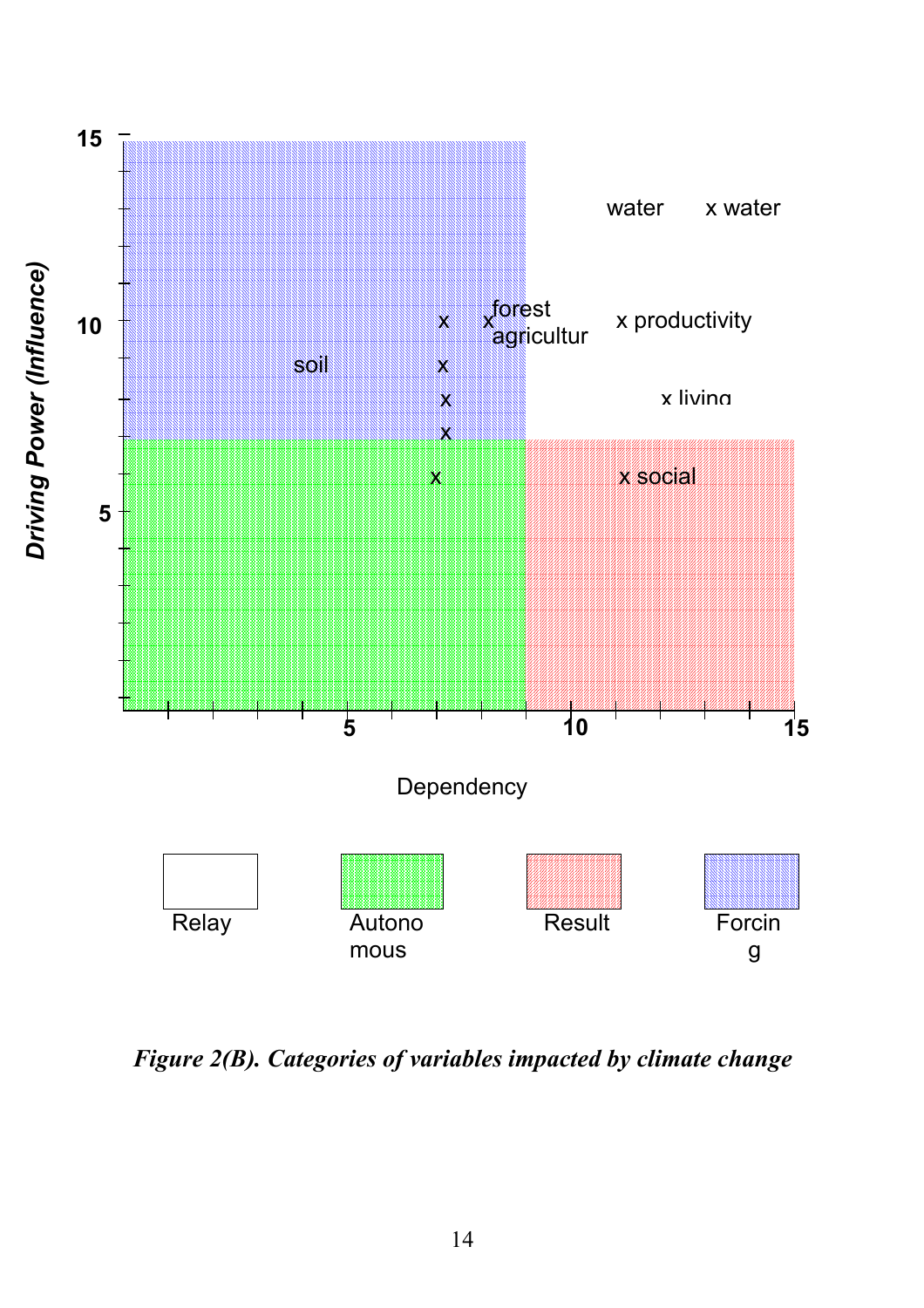

*Figure 2(B). Categories of variables impacted by climate change*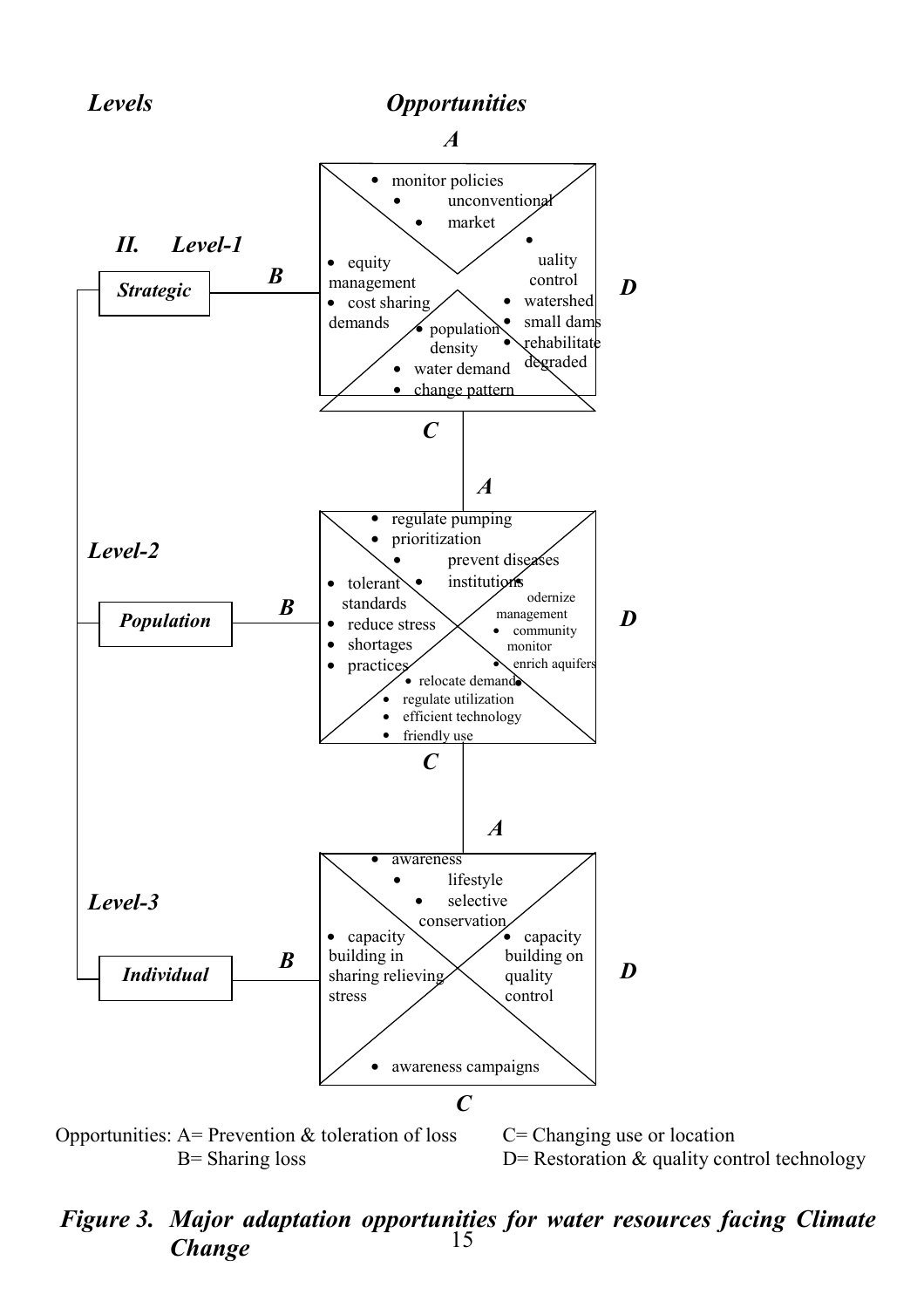



B= Sharing loss  $D=$  Restoration  $\&$  quality control technology

#### 15 *Figure 3. Major adaptation opportunities for water resources facing Climate Change*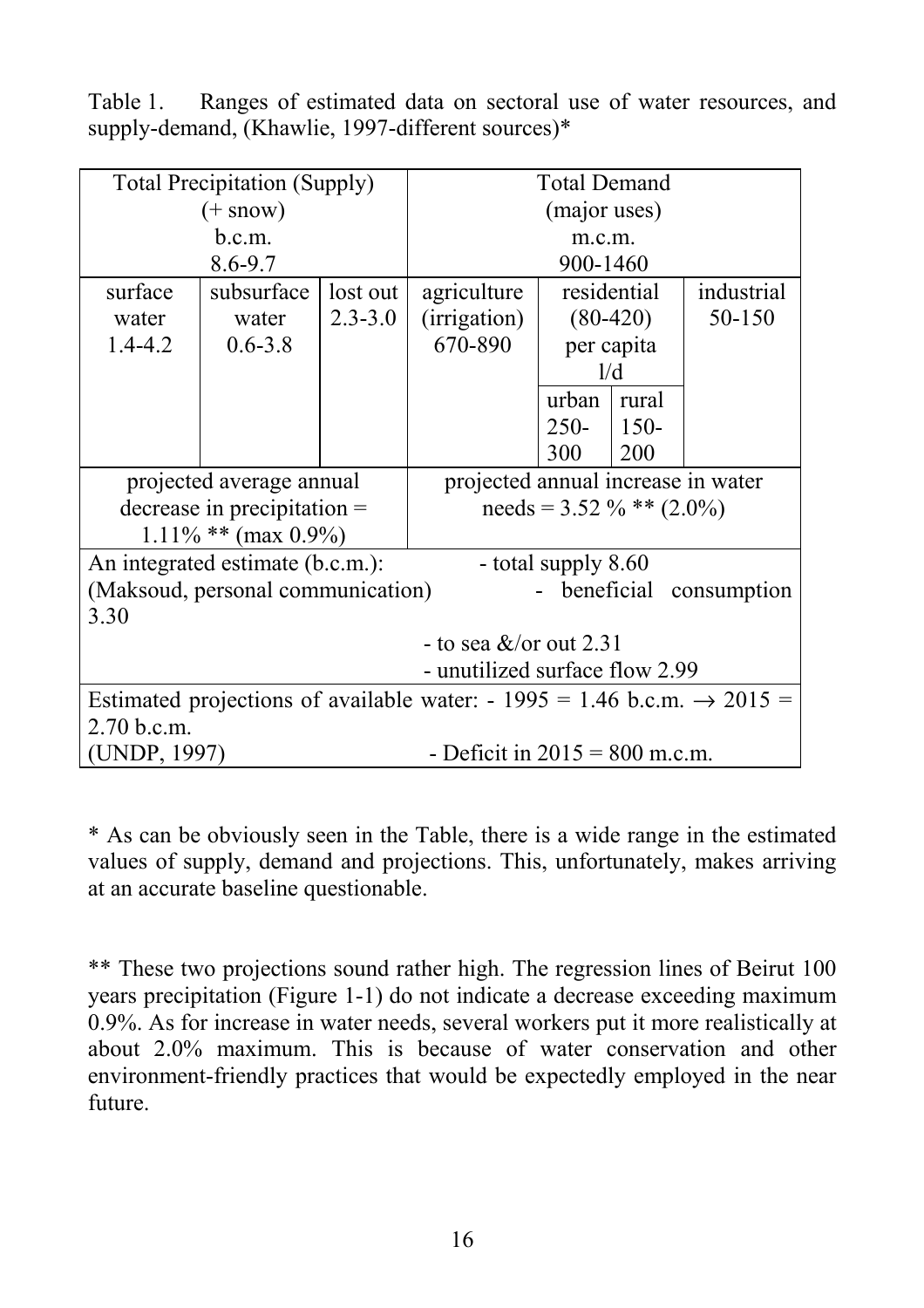Table 1. Ranges of estimated data on sectoral use of water resources, and supply-demand, (Khawlie, 1997-different sources)\*

|                                                                                     | <b>Total Precipitation (Supply)</b> | <b>Total Demand</b>         |                                  |                                    |             |            |  |  |  |  |
|-------------------------------------------------------------------------------------|-------------------------------------|-----------------------------|----------------------------------|------------------------------------|-------------|------------|--|--|--|--|
|                                                                                     | $(+$ snow)                          | (major uses)                |                                  |                                    |             |            |  |  |  |  |
|                                                                                     | b.c.m.                              |                             | m.c.m.                           |                                    |             |            |  |  |  |  |
|                                                                                     | $8.6 - 9.7$                         |                             | 900-1460                         |                                    |             |            |  |  |  |  |
| surface                                                                             | subsurface<br>lost out              |                             |                                  |                                    | residential | industrial |  |  |  |  |
| water                                                                               | water                               | $2.3 - 3.0$                 | (irrigation)                     | $(80-420)$                         |             | 50-150     |  |  |  |  |
| $1.4 - 4.2$                                                                         | $0.6 - 3.8$                         |                             | 670-890                          |                                    | per capita  |            |  |  |  |  |
|                                                                                     |                                     |                             |                                  |                                    | 1/d         |            |  |  |  |  |
|                                                                                     |                                     |                             |                                  | urban                              | rural       |            |  |  |  |  |
|                                                                                     |                                     |                             |                                  | $250-$                             | $150 -$     |            |  |  |  |  |
|                                                                                     |                                     |                             |                                  | 300                                | 200         |            |  |  |  |  |
|                                                                                     | projected average annual            |                             |                                  | projected annual increase in water |             |            |  |  |  |  |
|                                                                                     | $decrease$ in precipitation =       | needs = $3.52 \%$ ** (2.0%) |                                  |                                    |             |            |  |  |  |  |
|                                                                                     | $1.11\%$ ** (max 0.9%)              |                             |                                  |                                    |             |            |  |  |  |  |
|                                                                                     | An integrated estimate (b.c.m.):    |                             | - total supply 8.60              |                                    |             |            |  |  |  |  |
| (Maksoud, personal communication)<br>beneficial consumption                         |                                     |                             |                                  |                                    |             |            |  |  |  |  |
| 3.30                                                                                |                                     |                             |                                  |                                    |             |            |  |  |  |  |
| - to sea $&\sqrt{\text{or out } 2.31}$                                              |                                     |                             |                                  |                                    |             |            |  |  |  |  |
| - unutilized surface flow 2.99                                                      |                                     |                             |                                  |                                    |             |            |  |  |  |  |
| Estimated projections of available water: - 1995 = 1.46 b.c.m. $\rightarrow$ 2015 = |                                     |                             |                                  |                                    |             |            |  |  |  |  |
| 2.70 b.c.m.                                                                         |                                     |                             |                                  |                                    |             |            |  |  |  |  |
| (UNDP, 1997)                                                                        |                                     |                             | - Deficit in $2015 = 800$ m.c.m. |                                    |             |            |  |  |  |  |

\* As can be obviously seen in the Table, there is a wide range in the estimated values of supply, demand and projections. This, unfortunately, makes arriving at an accurate baseline questionable.

\*\* These two projections sound rather high. The regression lines of Beirut 100 years precipitation (Figure 1-1) do not indicate a decrease exceeding maximum 0.9%. As for increase in water needs, several workers put it more realistically at about 2.0% maximum. This is because of water conservation and other environment-friendly practices that would be expectedly employed in the near future.